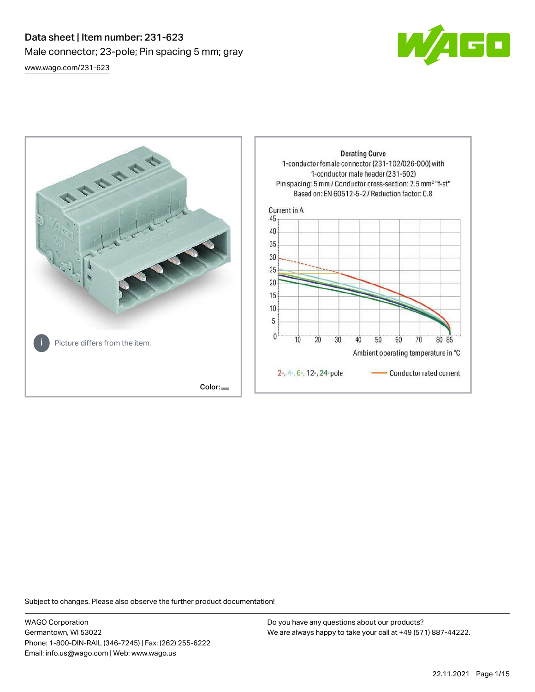# Data sheet | Item number: 231-623 Male connector; 23-pole; Pin spacing 5 mm; gray [www.wago.com/231-623](http://www.wago.com/231-623)





Subject to changes. Please also observe the further product documentation!

WAGO Corporation Germantown, WI 53022 Phone: 1-800-DIN-RAIL (346-7245) | Fax: (262) 255-6222 Email: info.us@wago.com | Web: www.wago.us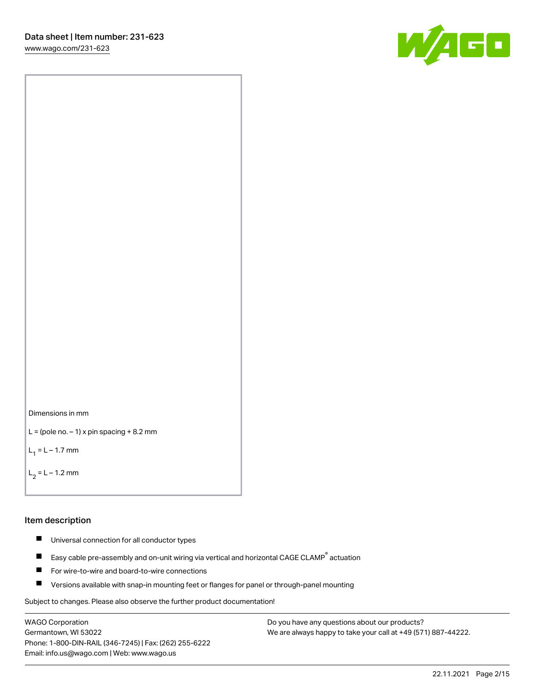[www.wago.com/231-623](http://www.wago.com/231-623)





```
L = (pole no. -1) x pin spacing +8.2 mm
```
 $L_1 = L - 1.7$  mm

```
L_2 = L - 1.2 mm
```
#### Item description

- $\blacksquare$ Universal connection for all conductor types
- Easy cable pre-assembly and on-unit wiring via vertical and horizontal CAGE CLAMP<sup>®</sup> actuation  $\blacksquare$
- П For wire-to-wire and board-to-wire connections
- $\blacksquare$ Versions available with snap-in mounting feet or flanges for panel or through-panel mounting

Subject to changes. Please also observe the further product documentation!

WAGO Corporation Germantown, WI 53022 Phone: 1-800-DIN-RAIL (346-7245) | Fax: (262) 255-6222 Email: info.us@wago.com | Web: www.wago.us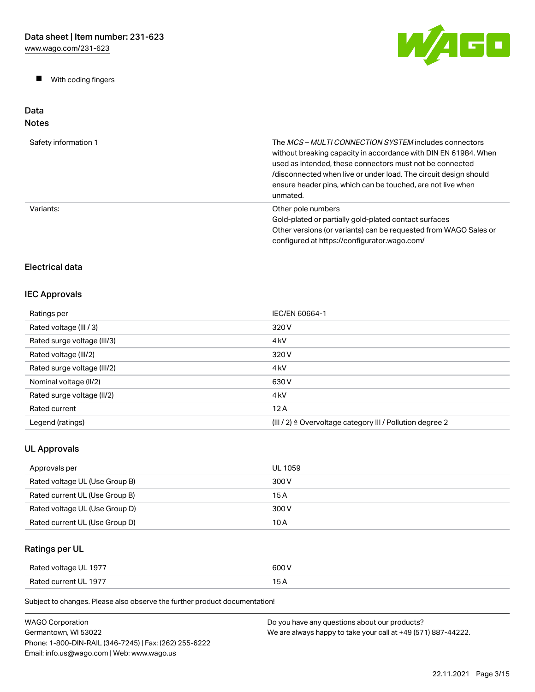$\blacksquare$ With coding fingers



#### Data Notes

| Safety information 1 | The <i>MCS – MULTI CONNECTION SYSTEM</i> includes connectors<br>without breaking capacity in accordance with DIN EN 61984. When<br>used as intended, these connectors must not be connected<br>/disconnected when live or under load. The circuit design should<br>ensure header pins, which can be touched, are not live when<br>unmated. |
|----------------------|--------------------------------------------------------------------------------------------------------------------------------------------------------------------------------------------------------------------------------------------------------------------------------------------------------------------------------------------|
| Variants:            | Other pole numbers<br>Gold-plated or partially gold-plated contact surfaces<br>Other versions (or variants) can be requested from WAGO Sales or<br>configured at https://configurator.wago.com/                                                                                                                                            |

## Electrical data

## IEC Approvals

| Ratings per                 | IEC/EN 60664-1                                                       |
|-----------------------------|----------------------------------------------------------------------|
| Rated voltage (III / 3)     | 320 V                                                                |
| Rated surge voltage (III/3) | 4 <sub>kV</sub>                                                      |
| Rated voltage (III/2)       | 320 V                                                                |
| Rated surge voltage (III/2) | 4 <sub>k</sub> V                                                     |
| Nominal voltage (II/2)      | 630 V                                                                |
| Rated surge voltage (II/2)  | 4 <sub>k</sub> V                                                     |
| Rated current               | 12A                                                                  |
| Legend (ratings)            | (III / 2) $\triangleq$ Overvoltage category III / Pollution degree 2 |

## UL Approvals

| Approvals per                  | UL 1059 |
|--------------------------------|---------|
| Rated voltage UL (Use Group B) | 300 V   |
| Rated current UL (Use Group B) | 15 A    |
| Rated voltage UL (Use Group D) | 300 V   |
| Rated current UL (Use Group D) | 10 A    |

## Ratings per UL

| Rated voltage UL 1977 | 600 V |
|-----------------------|-------|
| Rated current UL 1977 | 15A   |

| WAGO Corporation                                       | Do you have any questions about our products?                 |
|--------------------------------------------------------|---------------------------------------------------------------|
| Germantown. WI 53022                                   | We are always happy to take your call at +49 (571) 887-44222. |
| Phone: 1-800-DIN-RAIL (346-7245)   Fax: (262) 255-6222 |                                                               |
| Email: info.us@wago.com   Web: www.wago.us             |                                                               |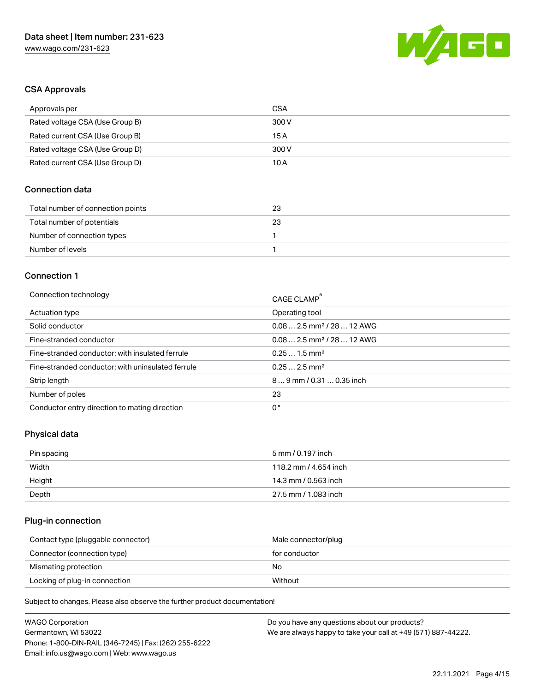

#### CSA Approvals

| Approvals per                   | CSA   |
|---------------------------------|-------|
| Rated voltage CSA (Use Group B) | 300 V |
| Rated current CSA (Use Group B) | 15 A  |
| Rated voltage CSA (Use Group D) | 300 V |
| Rated current CSA (Use Group D) | 10 A  |

#### Connection data

| Total number of connection points | 23 |
|-----------------------------------|----|
| Total number of potentials        | 23 |
| Number of connection types        |    |
| Number of levels                  |    |

#### Connection 1

| Connection technology                             | CAGE CLAMP <sup>®</sup>                |
|---------------------------------------------------|----------------------------------------|
| Actuation type                                    | Operating tool                         |
| Solid conductor                                   | $0.082.5$ mm <sup>2</sup> / 28  12 AWG |
| Fine-stranded conductor                           | $0.082.5$ mm <sup>2</sup> / 28  12 AWG |
| Fine-stranded conductor; with insulated ferrule   | $0.251.5$ mm <sup>2</sup>              |
| Fine-stranded conductor; with uninsulated ferrule | $0.252.5$ mm <sup>2</sup>              |
| Strip length                                      | $89$ mm / 0.31  0.35 inch              |
| Number of poles                                   | 23                                     |
| Conductor entry direction to mating direction     | 0°                                     |

#### Physical data

| Pin spacing | 5 mm / 0.197 inch     |
|-------------|-----------------------|
| Width       | 118.2 mm / 4.654 inch |
| Height      | 14.3 mm / 0.563 inch  |
| Depth       | 27.5 mm / 1.083 inch  |

## Plug-in connection

| Contact type (pluggable connector) | Male connector/plug |
|------------------------------------|---------------------|
| Connector (connection type)        | for conductor       |
| Mismating protection               | No                  |
| Locking of plug-in connection      | Without             |

| <b>WAGO Corporation</b>                                | Do you have any questions about our products?                 |
|--------------------------------------------------------|---------------------------------------------------------------|
| Germantown, WI 53022                                   | We are always happy to take your call at +49 (571) 887-44222. |
| Phone: 1-800-DIN-RAIL (346-7245)   Fax: (262) 255-6222 |                                                               |
| Email: info.us@wago.com   Web: www.wago.us             |                                                               |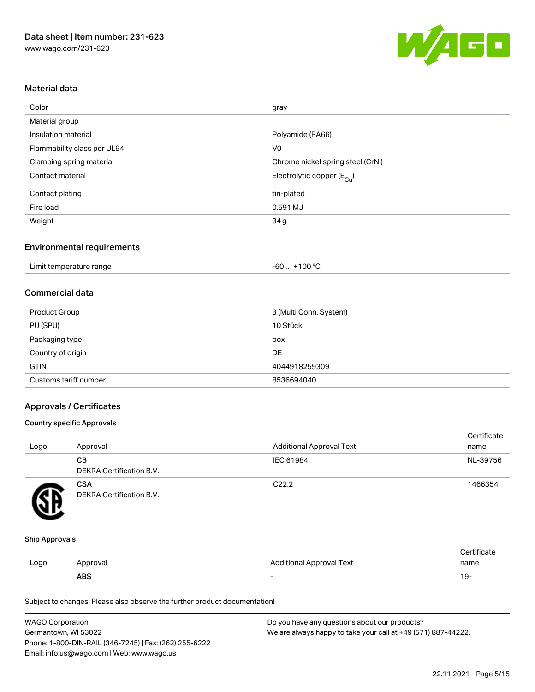

### Material data

| Color                       | gray                                  |
|-----------------------------|---------------------------------------|
| Material group              |                                       |
| Insulation material         | Polyamide (PA66)                      |
| Flammability class per UL94 | V <sub>0</sub>                        |
| Clamping spring material    | Chrome nickel spring steel (CrNi)     |
| Contact material            | Electrolytic copper $(E_{\text{Cl}})$ |
| Contact plating             | tin-plated                            |
| Fire load                   | 0.591 MJ                              |
| Weight                      | 34g                                   |

#### Environmental requirements

| Limit temperature range | $-60+100 °C$ |  |
|-------------------------|--------------|--|
|-------------------------|--------------|--|

#### Commercial data

| <b>Product Group</b>  | 3 (Multi Conn. System) |
|-----------------------|------------------------|
| PU (SPU)              | 10 Stück               |
| Packaging type        | box                    |
| Country of origin     | <b>DE</b>              |
| <b>GTIN</b>           | 4044918259309          |
| Customs tariff number | 8536694040             |

#### Approvals / Certificates

#### Country specific Approvals

| Logo | Approval                               | <b>Additional Approval Text</b> | Certificate<br>name |
|------|----------------------------------------|---------------------------------|---------------------|
|      | CВ<br>DEKRA Certification B.V.         | IEC 61984                       | NL-39756            |
|      | <b>CSA</b><br>DEKRA Certification B.V. | C <sub>22.2</sub>               | 1466354             |

#### Ship Approvals

|      | <b>ABS</b> | -                               | 19.  |
|------|------------|---------------------------------|------|
| Logo | Approval   | <b>Additional Approval Text</b> | name |
|      |            |                                 |      |

| <b>WAGO Corporation</b>                                | Do you have any questions about our products?                 |
|--------------------------------------------------------|---------------------------------------------------------------|
| Germantown, WI 53022                                   | We are always happy to take your call at +49 (571) 887-44222. |
| Phone: 1-800-DIN-RAIL (346-7245)   Fax: (262) 255-6222 |                                                               |
| Email: info.us@wago.com   Web: www.wago.us             |                                                               |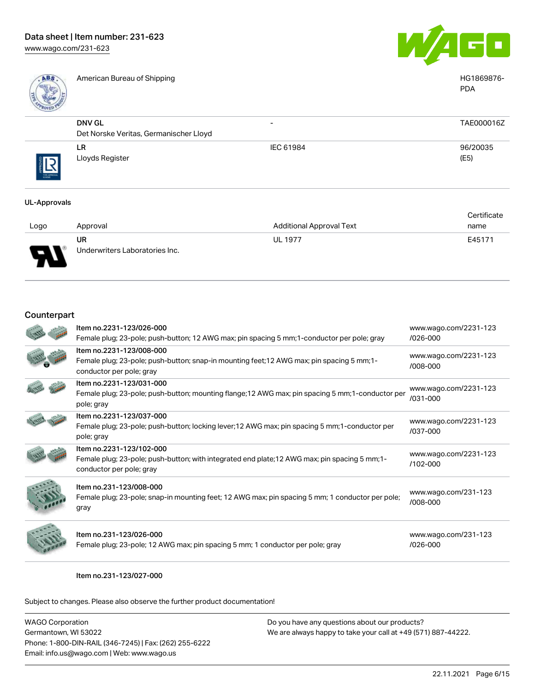

American Bureau of Shipping National American Bureau of Shipping National American Bureau of Shipping National American Bureau of Shipping National American Bureau of Shipping National American Bureau of Shipping National



|           |                                                         |                          | <b>PDA</b>       |
|-----------|---------------------------------------------------------|--------------------------|------------------|
|           | <b>DNV GL</b><br>Det Norske Veritas, Germanischer Lloyd | $\overline{\phantom{0}}$ | TAE000016Z       |
| THE ARROW | LR.<br>Lloyds Register                                  | IEC 61984                | 96/20035<br>(E5) |

#### UL-Approvals

|          |                                |                          | Certificate |
|----------|--------------------------------|--------------------------|-------------|
| Logo     | Approval                       | Additional Approval Text | name        |
|          | <b>UR</b>                      | <b>UL 1977</b>           | E45171      |
| L<br>. . | Underwriters Laboratories Inc. |                          |             |

#### Counterpart

| Item no.2231-123/026-000<br>Female plug; 23-pole; push-button; 12 AWG max; pin spacing 5 mm; 1-conductor per pole; gray                                | www.wago.com/2231-123<br>/026-000     |
|--------------------------------------------------------------------------------------------------------------------------------------------------------|---------------------------------------|
| Item no.2231-123/008-000<br>Female plug; 23-pole; push-button; snap-in mounting feet; 12 AWG max; pin spacing 5 mm; 1-<br>conductor per pole; gray     | www.wago.com/2231-123<br>/008-000     |
| Item no.2231-123/031-000<br>Female plug; 23-pole; push-button; mounting flange; 12 AWG max; pin spacing 5 mm; 1-conductor per<br>pole; gray            | www.wago.com/2231-123<br>/031-000     |
| Item no.2231-123/037-000<br>Female plug; 23-pole; push-button; locking lever; 12 AWG max; pin spacing 5 mm; 1-conductor per<br>pole; gray              | www.wago.com/2231-123<br>/037-000     |
| Item no.2231-123/102-000<br>Female plug; 23-pole; push-button; with integrated end plate; 12 AWG max; pin spacing 5 mm; 1-<br>conductor per pole; gray | www.wago.com/2231-123<br>$/102 - 000$ |
| Item no.231-123/008-000<br>Female plug; 23-pole; snap-in mounting feet; 12 AWG max; pin spacing 5 mm; 1 conductor per pole;<br>gray                    | www.wago.com/231-123<br>/008-000      |
| Item no.231-123/026-000<br>Female plug; 23-pole; 12 AWG max; pin spacing 5 mm; 1 conductor per pole; gray                                              | www.wago.com/231-123<br>/026-000      |

Item no.231-123/027-000

| WAGO Corporation                                       | Do you have any questions about our products?                 |
|--------------------------------------------------------|---------------------------------------------------------------|
| Germantown, WI 53022                                   | We are always happy to take your call at +49 (571) 887-44222. |
| Phone: 1-800-DIN-RAIL (346-7245)   Fax: (262) 255-6222 |                                                               |
| Email: info.us@wago.com   Web: www.wago.us             |                                                               |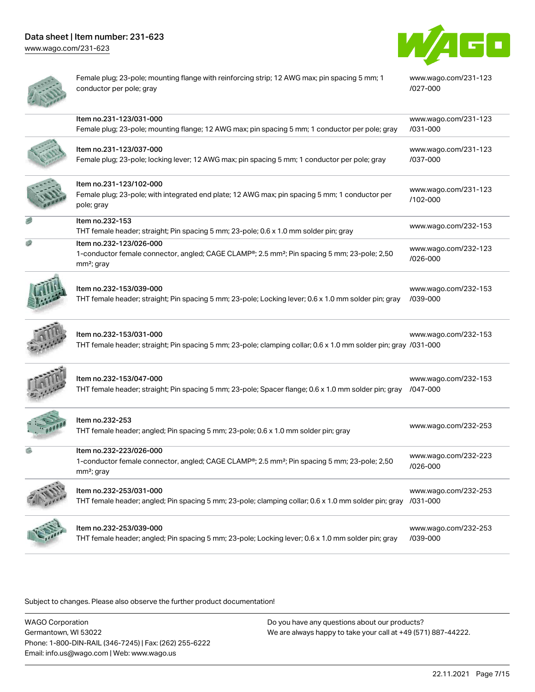[www.wago.com/231-623](http://www.wago.com/231-623)



[www.wago.com/231-123](https://www.wago.com/231-123/027-000)

[/027-000](https://www.wago.com/231-123/027-000)

| ï |  |
|---|--|
|   |  |
|   |  |

Female plug; 23-pole; mounting flange with reinforcing strip; 12 AWG max; pin spacing 5 mm; 1 conductor per pole; gray

| Item no.231-123/031-000<br>Female plug; 23-pole; mounting flange; 12 AWG max; pin spacing 5 mm; 1 conductor per pole; gray                                                 | www.wago.com/231-123<br>/031-000 |
|----------------------------------------------------------------------------------------------------------------------------------------------------------------------------|----------------------------------|
| Item no.231-123/037-000<br>Female plug; 23-pole; locking lever; 12 AWG max; pin spacing 5 mm; 1 conductor per pole; gray                                                   | www.wago.com/231-123<br>/037-000 |
| Item no.231-123/102-000<br>Female plug; 23-pole; with integrated end plate; 12 AWG max; pin spacing 5 mm; 1 conductor per<br>pole; gray                                    | www.wago.com/231-123<br>/102-000 |
| Item no.232-153<br>THT female header; straight; Pin spacing 5 mm; 23-pole; 0.6 x 1.0 mm solder pin; gray                                                                   | www.wago.com/232-153             |
| Item no.232-123/026-000<br>1-conductor female connector, angled; CAGE CLAMP <sup>®</sup> ; 2.5 mm <sup>2</sup> ; Pin spacing 5 mm; 23-pole; 2,50<br>mm <sup>2</sup> ; gray | www.wago.com/232-123<br>/026-000 |
| Item no.232-153/039-000<br>THT female header; straight; Pin spacing 5 mm; 23-pole; Locking lever; 0.6 x 1.0 mm solder pin; gray                                            | www.wago.com/232-153<br>/039-000 |
| Item no.232-153/031-000<br>THT female header; straight; Pin spacing 5 mm; 23-pole; clamping collar; 0.6 x 1.0 mm solder pin; gray /031-000                                 | www.wago.com/232-153             |
| Item no.232-153/047-000<br>THT female header; straight; Pin spacing 5 mm; 23-pole; Spacer flange; 0.6 x 1.0 mm solder pin; gray /047-000                                   | www.wago.com/232-153             |
| Item no.232-253<br>THT female header; angled; Pin spacing 5 mm; 23-pole; 0.6 x 1.0 mm solder pin; gray                                                                     | www.wago.com/232-253             |
| Item no.232-223/026-000<br>1-conductor female connector, angled; CAGE CLAMP®; 2.5 mm <sup>2</sup> ; Pin spacing 5 mm; 23-pole; 2,50<br>mm <sup>2</sup> ; gray              | www.wago.com/232-223<br>/026-000 |
| Item no.232-253/031-000<br>THT female header; angled; Pin spacing 5 mm; 23-pole; clamping collar; 0.6 x 1.0 mm solder pin; gray /031-000                                   | www.wago.com/232-253             |
| Item no.232-253/039-000<br>THT female header; angled; Pin spacing 5 mm; 23-pole; Locking lever; 0.6 x 1.0 mm solder pin; gray                                              | www.wago.com/232-253<br>/039-000 |

Subject to changes. Please also observe the further product documentation!

WAGO Corporation Germantown, WI 53022 Phone: 1-800-DIN-RAIL (346-7245) | Fax: (262) 255-6222 Email: info.us@wago.com | Web: www.wago.us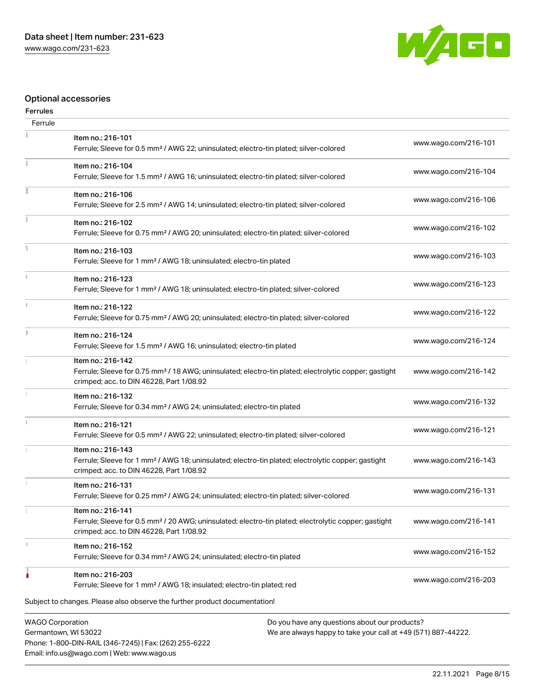Phone: 1-800-DIN-RAIL (346-7245) | Fax: (262) 255-6222

Email: info.us@wago.com | Web: www.wago.us



## Optional accessories

#### Ferrules

| Ferrule                                         |                                                                                                                                                                                    |                                                                                                                |                      |
|-------------------------------------------------|------------------------------------------------------------------------------------------------------------------------------------------------------------------------------------|----------------------------------------------------------------------------------------------------------------|----------------------|
|                                                 | Item no.: 216-101<br>Ferrule; Sleeve for 0.5 mm <sup>2</sup> / AWG 22; uninsulated; electro-tin plated; silver-colored                                                             |                                                                                                                | www.wago.com/216-101 |
|                                                 | Item no.: 216-104<br>Ferrule; Sleeve for 1.5 mm <sup>2</sup> / AWG 16; uninsulated; electro-tin plated; silver-colored                                                             |                                                                                                                | www.wago.com/216-104 |
|                                                 | Item no.: 216-106<br>Ferrule; Sleeve for 2.5 mm <sup>2</sup> / AWG 14; uninsulated; electro-tin plated; silver-colored                                                             |                                                                                                                | www.wago.com/216-106 |
|                                                 | Item no.: 216-102<br>Ferrule; Sleeve for 0.75 mm <sup>2</sup> / AWG 20; uninsulated; electro-tin plated; silver-colored                                                            |                                                                                                                | www.wago.com/216-102 |
|                                                 | Item no.: 216-103<br>Ferrule; Sleeve for 1 mm <sup>2</sup> / AWG 18; uninsulated; electro-tin plated                                                                               |                                                                                                                | www.wago.com/216-103 |
|                                                 | Item no.: 216-123<br>Ferrule; Sleeve for 1 mm <sup>2</sup> / AWG 18; uninsulated; electro-tin plated; silver-colored                                                               |                                                                                                                | www.wago.com/216-123 |
| ž.                                              | Item no.: 216-122<br>Ferrule; Sleeve for 0.75 mm <sup>2</sup> / AWG 20; uninsulated; electro-tin plated; silver-colored                                                            |                                                                                                                | www.wago.com/216-122 |
|                                                 | Item no.: 216-124<br>Ferrule; Sleeve for 1.5 mm <sup>2</sup> / AWG 16; uninsulated; electro-tin plated                                                                             |                                                                                                                | www.wago.com/216-124 |
|                                                 | Item no.: 216-142<br>Ferrule; Sleeve for 0.75 mm <sup>2</sup> / 18 AWG; uninsulated; electro-tin plated; electrolytic copper; gastight<br>crimped; acc. to DIN 46228, Part 1/08.92 |                                                                                                                | www.wago.com/216-142 |
|                                                 | Item no.: 216-132<br>Ferrule; Sleeve for 0.34 mm <sup>2</sup> / AWG 24; uninsulated; electro-tin plated                                                                            |                                                                                                                | www.wago.com/216-132 |
|                                                 | Item no.: 216-121<br>Ferrule; Sleeve for 0.5 mm <sup>2</sup> / AWG 22; uninsulated; electro-tin plated; silver-colored                                                             |                                                                                                                | www.wago.com/216-121 |
|                                                 | Item no.: 216-143<br>Ferrule; Sleeve for 1 mm <sup>2</sup> / AWG 18; uninsulated; electro-tin plated; electrolytic copper; gastight<br>crimped; acc. to DIN 46228, Part 1/08.92    |                                                                                                                | www.wago.com/216-143 |
|                                                 | Item no.: 216-131<br>Ferrule; Sleeve for 0.25 mm <sup>2</sup> / AWG 24; uninsulated; electro-tin plated; silver-colored                                                            |                                                                                                                | www.wago.com/216-131 |
|                                                 | Item no.: 216-141<br>Ferrule; Sleeve for 0.5 mm <sup>2</sup> / 20 AWG; uninsulated; electro-tin plated; electrolytic copper; gastight<br>crimped; acc. to DIN 46228, Part 1/08.92  |                                                                                                                | www.wago.com/216-141 |
|                                                 | Item no.: 216-152<br>Ferrule; Sleeve for 0.34 mm <sup>2</sup> / AWG 24; uninsulated; electro-tin plated                                                                            |                                                                                                                | www.wago.com/216-152 |
|                                                 | Item no.: 216-203<br>Ferrule; Sleeve for 1 mm <sup>2</sup> / AWG 18; insulated; electro-tin plated; red                                                                            |                                                                                                                | www.wago.com/216-203 |
|                                                 | Subject to changes. Please also observe the further product documentation!                                                                                                         |                                                                                                                |                      |
| <b>WAGO Corporation</b><br>Germantown, WI 53022 |                                                                                                                                                                                    | Do you have any questions about our products?<br>We are always happy to take your call at +49 (571) 887-44222. |                      |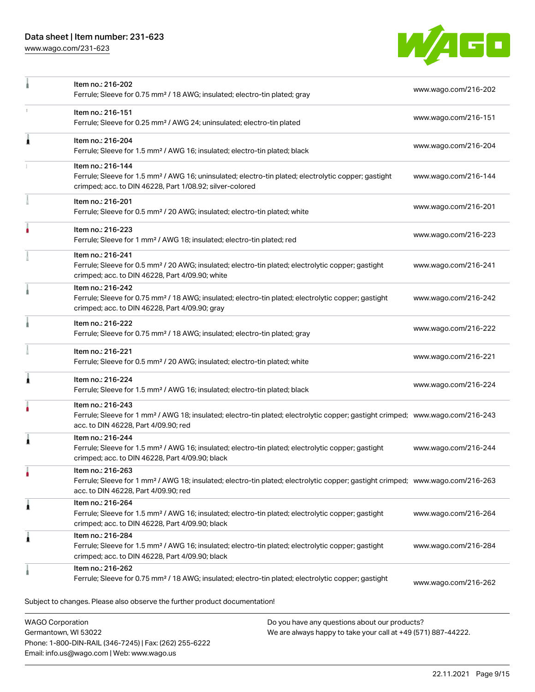Phone: 1-800-DIN-RAIL (346-7245) | Fax: (262) 255-6222

Email: info.us@wago.com | Web: www.wago.us

[www.wago.com/231-623](http://www.wago.com/231-623)



|                                                 | Item no.: 216-202<br>Ferrule; Sleeve for 0.75 mm <sup>2</sup> / 18 AWG; insulated; electro-tin plated; gray                                                                                             |                                                                                                                | www.wago.com/216-202 |
|-------------------------------------------------|---------------------------------------------------------------------------------------------------------------------------------------------------------------------------------------------------------|----------------------------------------------------------------------------------------------------------------|----------------------|
|                                                 | Item no.: 216-151<br>Ferrule; Sleeve for 0.25 mm <sup>2</sup> / AWG 24; uninsulated; electro-tin plated                                                                                                 |                                                                                                                | www.wago.com/216-151 |
| Â                                               | Item no.: 216-204<br>Ferrule; Sleeve for 1.5 mm <sup>2</sup> / AWG 16; insulated; electro-tin plated; black                                                                                             |                                                                                                                | www.wago.com/216-204 |
|                                                 | Item no.: 216-144<br>Ferrule; Sleeve for 1.5 mm <sup>2</sup> / AWG 16; uninsulated; electro-tin plated; electrolytic copper; gastight<br>crimped; acc. to DIN 46228, Part 1/08.92; silver-colored       |                                                                                                                | www.wago.com/216-144 |
|                                                 | Item no.: 216-201<br>Ferrule; Sleeve for 0.5 mm <sup>2</sup> / 20 AWG; insulated; electro-tin plated; white                                                                                             |                                                                                                                | www.wago.com/216-201 |
|                                                 | Item no.: 216-223<br>Ferrule; Sleeve for 1 mm <sup>2</sup> / AWG 18; insulated; electro-tin plated; red                                                                                                 |                                                                                                                | www.wago.com/216-223 |
|                                                 | Item no.: 216-241<br>Ferrule; Sleeve for 0.5 mm <sup>2</sup> / 20 AWG; insulated; electro-tin plated; electrolytic copper; gastight<br>crimped; acc. to DIN 46228, Part 4/09.90; white                  |                                                                                                                | www.wago.com/216-241 |
|                                                 | Item no.: 216-242<br>Ferrule; Sleeve for 0.75 mm <sup>2</sup> / 18 AWG; insulated; electro-tin plated; electrolytic copper; gastight<br>crimped; acc. to DIN 46228, Part 4/09.90; gray                  |                                                                                                                | www.wago.com/216-242 |
|                                                 | Item no.: 216-222<br>Ferrule; Sleeve for 0.75 mm <sup>2</sup> / 18 AWG; insulated; electro-tin plated; gray                                                                                             |                                                                                                                | www.wago.com/216-222 |
|                                                 | Item no.: 216-221<br>Ferrule; Sleeve for 0.5 mm <sup>2</sup> / 20 AWG; insulated; electro-tin plated; white                                                                                             |                                                                                                                | www.wago.com/216-221 |
| ı                                               | Item no.: 216-224<br>Ferrule; Sleeve for 1.5 mm <sup>2</sup> / AWG 16; insulated; electro-tin plated; black                                                                                             |                                                                                                                | www.wago.com/216-224 |
|                                                 | Item no.: 216-243<br>Ferrule; Sleeve for 1 mm <sup>2</sup> / AWG 18; insulated; electro-tin plated; electrolytic copper; gastight crimped; www.wago.com/216-243<br>acc. to DIN 46228, Part 4/09.90; red |                                                                                                                |                      |
| Â                                               | Item no.: 216-244<br>Ferrule; Sleeve for 1.5 mm <sup>2</sup> / AWG 16; insulated; electro-tin plated; electrolytic copper; gastight<br>crimped; acc. to DIN 46228, Part 4/09.90; black                  |                                                                                                                | www.wago.com/216-244 |
|                                                 | Item no.: 216-263<br>Ferrule; Sleeve for 1 mm <sup>2</sup> / AWG 18; insulated; electro-tin plated; electrolytic copper; gastight crimped; www.wago.com/216-263<br>acc. to DIN 46228, Part 4/09.90; red |                                                                                                                |                      |
| 1                                               | Item no.: 216-264<br>Ferrule; Sleeve for 1.5 mm <sup>2</sup> / AWG 16; insulated; electro-tin plated; electrolytic copper; gastight<br>crimped; acc. to DIN 46228, Part 4/09.90; black                  |                                                                                                                | www.wago.com/216-264 |
| Â                                               | Item no.: 216-284<br>Ferrule; Sleeve for 1.5 mm <sup>2</sup> / AWG 16; insulated; electro-tin plated; electrolytic copper; gastight<br>crimped; acc. to DIN 46228, Part 4/09.90; black                  |                                                                                                                | www.wago.com/216-284 |
|                                                 | Item no.: 216-262<br>Ferrule; Sleeve for 0.75 mm <sup>2</sup> / 18 AWG; insulated; electro-tin plated; electrolytic copper; gastight                                                                    |                                                                                                                | www.wago.com/216-262 |
|                                                 | Subject to changes. Please also observe the further product documentation!                                                                                                                              |                                                                                                                |                      |
| <b>WAGO Corporation</b><br>Germantown, WI 53022 |                                                                                                                                                                                                         | Do you have any questions about our products?<br>We are always happy to take your call at +49 (571) 887-44222. |                      |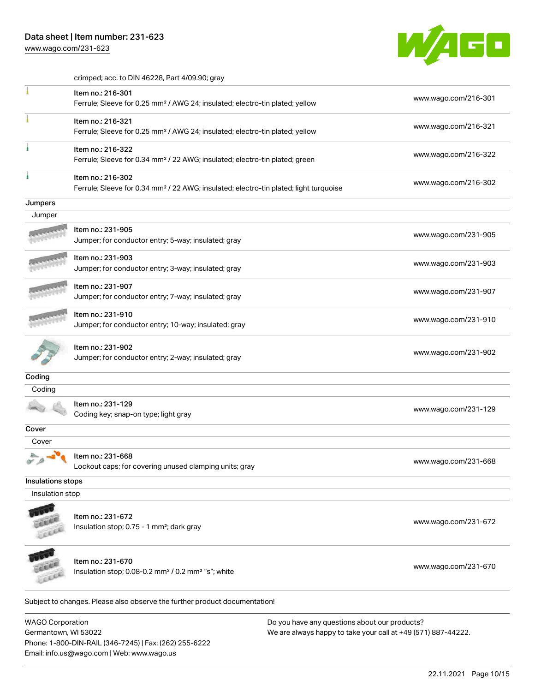[www.wago.com/231-623](http://www.wago.com/231-623)



crimped; acc. to DIN 46228, Part 4/09.90; gray

|                         | Item no.: 216-301<br>Ferrule; Sleeve for 0.25 mm <sup>2</sup> / AWG 24; insulated; electro-tin plated; yellow          | www.wago.com/216-301                          |
|-------------------------|------------------------------------------------------------------------------------------------------------------------|-----------------------------------------------|
|                         | Item no.: 216-321<br>Ferrule; Sleeve for 0.25 mm <sup>2</sup> / AWG 24; insulated; electro-tin plated; yellow          | www.wago.com/216-321                          |
|                         | Item no.: 216-322<br>Ferrule; Sleeve for 0.34 mm <sup>2</sup> / 22 AWG; insulated; electro-tin plated; green           | www.wago.com/216-322                          |
|                         | Item no.: 216-302<br>Ferrule; Sleeve for 0.34 mm <sup>2</sup> / 22 AWG; insulated; electro-tin plated; light turquoise | www.wago.com/216-302                          |
| Jumpers                 |                                                                                                                        |                                               |
| Jumper                  |                                                                                                                        |                                               |
|                         | Item no.: 231-905<br>Jumper; for conductor entry; 5-way; insulated; gray                                               | www.wago.com/231-905                          |
|                         | Item no.: 231-903<br>Jumper; for conductor entry; 3-way; insulated; gray                                               | www.wago.com/231-903                          |
|                         | Item no.: 231-907<br>Jumper; for conductor entry; 7-way; insulated; gray                                               | www.wago.com/231-907                          |
|                         | Item no.: 231-910<br>Jumper; for conductor entry; 10-way; insulated; gray                                              | www.wago.com/231-910                          |
|                         | Item no.: 231-902<br>Jumper; for conductor entry; 2-way; insulated; gray                                               | www.wago.com/231-902                          |
| Coding                  |                                                                                                                        |                                               |
| Coding                  |                                                                                                                        |                                               |
|                         | Item no.: 231-129<br>Coding key; snap-on type; light gray                                                              | www.wago.com/231-129                          |
| Cover                   |                                                                                                                        |                                               |
| Cover                   |                                                                                                                        |                                               |
|                         | Item no.: 231-668<br>Lockout caps; for covering unused clamping units; gray                                            | www.wago.com/231-668                          |
| Insulations stops       |                                                                                                                        |                                               |
| Insulation stop         |                                                                                                                        |                                               |
|                         | Item no.: 231-672<br>Insulation stop; 0.75 - 1 mm <sup>2</sup> ; dark gray                                             | www.wago.com/231-672                          |
|                         | Item no.: 231-670<br>Insulation stop; 0.08-0.2 mm <sup>2</sup> / 0.2 mm <sup>2</sup> "s"; white                        | www.wago.com/231-670                          |
|                         | Subject to changes. Please also observe the further product documentation!                                             |                                               |
| <b>WAGO Corporation</b> |                                                                                                                        | Do you have any questions about our products? |

Germantown, WI 53022 Phone: 1-800-DIN-RAIL (346-7245) | Fax: (262) 255-6222 Email: info.us@wago.com | Web: www.wago.us

We are always happy to take your call at +49 (571) 887-44222.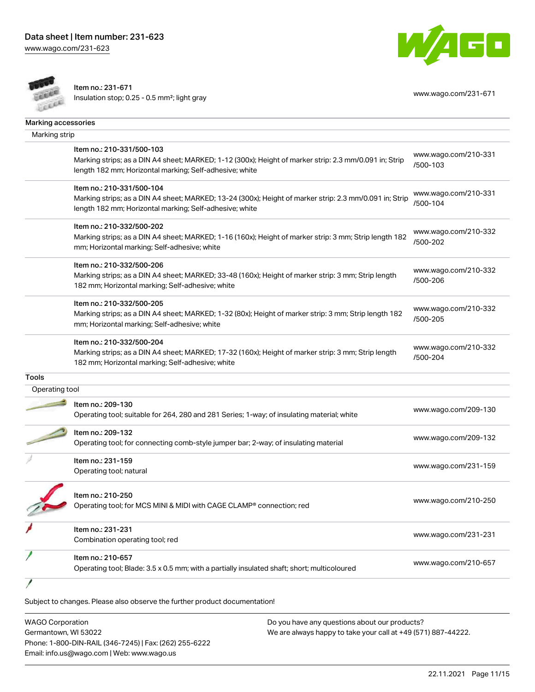[www.wago.com/231-623](http://www.wago.com/231-623)



Item no.: 231-671 Insulation stop; 0.25 - 0.5 mm<sup>2</sup>; light gray [www.wago.com/231-671](http://www.wago.com/231-671) www.wago.com/231-671



| Marking strip  |                                                                                                         |                                  |
|----------------|---------------------------------------------------------------------------------------------------------|----------------------------------|
|                |                                                                                                         |                                  |
|                | Item no.: 210-331/500-103                                                                               | www.wago.com/210-331             |
|                | Marking strips; as a DIN A4 sheet; MARKED; 1-12 (300x); Height of marker strip: 2.3 mm/0.091 in; Strip  | /500-103                         |
|                | length 182 mm; Horizontal marking; Self-adhesive; white                                                 |                                  |
|                | Item no.: 210-331/500-104                                                                               |                                  |
|                | Marking strips; as a DIN A4 sheet; MARKED; 13-24 (300x); Height of marker strip: 2.3 mm/0.091 in; Strip | www.wago.com/210-331<br>/500-104 |
|                | length 182 mm; Horizontal marking; Self-adhesive; white                                                 |                                  |
|                | Item no.: 210-332/500-202                                                                               |                                  |
|                | Marking strips; as a DIN A4 sheet; MARKED; 1-16 (160x); Height of marker strip: 3 mm; Strip length 182  | www.wago.com/210-332             |
|                | mm; Horizontal marking; Self-adhesive; white                                                            | /500-202                         |
|                | Item no.: 210-332/500-206                                                                               |                                  |
|                | Marking strips; as a DIN A4 sheet; MARKED; 33-48 (160x); Height of marker strip: 3 mm; Strip length     | www.wago.com/210-332             |
|                | 182 mm; Horizontal marking; Self-adhesive; white                                                        | /500-206                         |
|                | Item no.: 210-332/500-205                                                                               |                                  |
|                | Marking strips; as a DIN A4 sheet; MARKED; 1-32 (80x); Height of marker strip: 3 mm; Strip length 182   | www.wago.com/210-332             |
|                | mm; Horizontal marking; Self-adhesive; white                                                            | /500-205                         |
|                | Item no.: 210-332/500-204                                                                               |                                  |
|                | Marking strips; as a DIN A4 sheet; MARKED; 17-32 (160x); Height of marker strip: 3 mm; Strip length     | www.wago.com/210-332             |
|                | 182 mm; Horizontal marking; Self-adhesive; white                                                        | /500-204                         |
| <b>Tools</b>   |                                                                                                         |                                  |
| Operating tool |                                                                                                         |                                  |
|                | Item no.: 209-130                                                                                       |                                  |
|                | Operating tool; suitable for 264, 280 and 281 Series; 1-way; of insulating material; white              | www.wago.com/209-130             |
|                | Item no.: 209-132                                                                                       |                                  |
|                | Operating tool; for connecting comb-style jumper bar; 2-way; of insulating material                     | www.wago.com/209-132             |
|                | Item no.: 231-159                                                                                       |                                  |
|                | Operating tool; natural                                                                                 | www.wago.com/231-159             |
|                |                                                                                                         |                                  |
|                | Item no.: 210-250                                                                                       | www.wago.com/210-250             |
|                | Operating tool; for MCS MINI & MIDI with CAGE CLAMP® connection; red                                    |                                  |
|                | Item no.: 231-231                                                                                       |                                  |
|                | Combination operating tool; red                                                                         | www.wago.com/231-231             |
|                | Item no.: 210-657                                                                                       |                                  |
|                |                                                                                                         | www.wago.com/210-657             |

| <b>WAGO Corporation</b>                                | Do you have any questions about our products?                 |  |
|--------------------------------------------------------|---------------------------------------------------------------|--|
| Germantown, WI 53022                                   | We are always happy to take your call at +49 (571) 887-44222. |  |
| Phone: 1-800-DIN-RAIL (346-7245)   Fax: (262) 255-6222 |                                                               |  |
| Email: info.us@wago.com   Web: www.wago.us             |                                                               |  |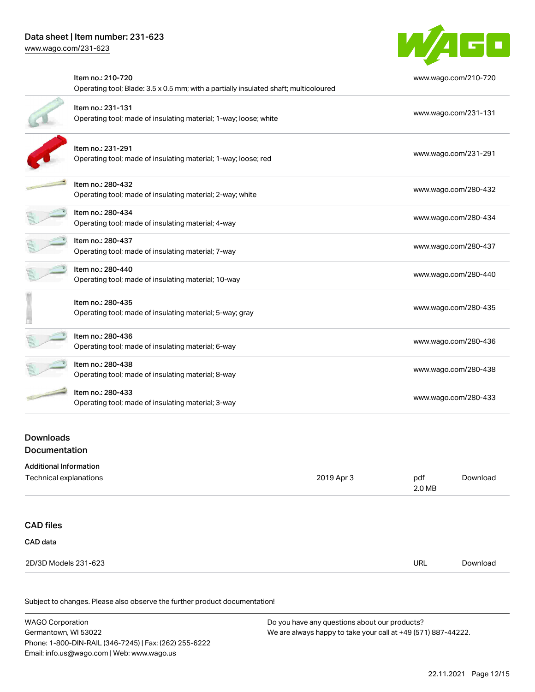

| Item no.: 210-720                                                                     | www.wago.com/210-720 |
|---------------------------------------------------------------------------------------|----------------------|
| Operating tool; Blade: 3.5 x 0.5 mm; with a partially insulated shaft; multicoloured  |                      |
| Item no.: 231-131<br>Operating tool; made of insulating material; 1-way; loose; white | www.wago.com/231-131 |
| Item no.: 231-291<br>Operating tool; made of insulating material; 1-way; loose; red   | www.wago.com/231-291 |
| Item no.: 280-432<br>Operating tool; made of insulating material; 2-way; white        | www.wago.com/280-432 |
| Item no.: 280-434<br>Operating tool; made of insulating material; 4-way               | www.wago.com/280-434 |
| Item no.: 280-437<br>Operating tool; made of insulating material; 7-way               | www.wago.com/280-437 |
| Item no.: 280-440<br>Operating tool; made of insulating material; 10-way              | www.wago.com/280-440 |
| Item no.: 280-435<br>Operating tool; made of insulating material; 5-way; gray         | www.wago.com/280-435 |
| Item no.: 280-436<br>Operating tool; made of insulating material; 6-way               | www.wago.com/280-436 |
| Item no.: 280-438<br>Operating tool; made of insulating material; 8-way               | www.wago.com/280-438 |
| Item no.: 280-433<br>Operating tool; made of insulating material; 3-way               | www.wago.com/280-433 |
|                                                                                       |                      |

#### Downloads **Documentation**

#### Additional Information

| Technical explanations | 2019 Apr 3 | pdf<br>2.0 MB | Download |
|------------------------|------------|---------------|----------|
| <b>CAD files</b>       |            |               |          |
| CAD data               |            |               |          |
| 2D/3D Models 231-623   |            | <b>URL</b>    | Download |

| <b>WAGO Corporation</b>                                | Do you have any questions about our products?                 |  |
|--------------------------------------------------------|---------------------------------------------------------------|--|
| Germantown. WI 53022                                   | We are always happy to take your call at +49 (571) 887-44222. |  |
| Phone: 1-800-DIN-RAIL (346-7245)   Fax: (262) 255-6222 |                                                               |  |
| Email: info.us@wago.com   Web: www.wago.us             |                                                               |  |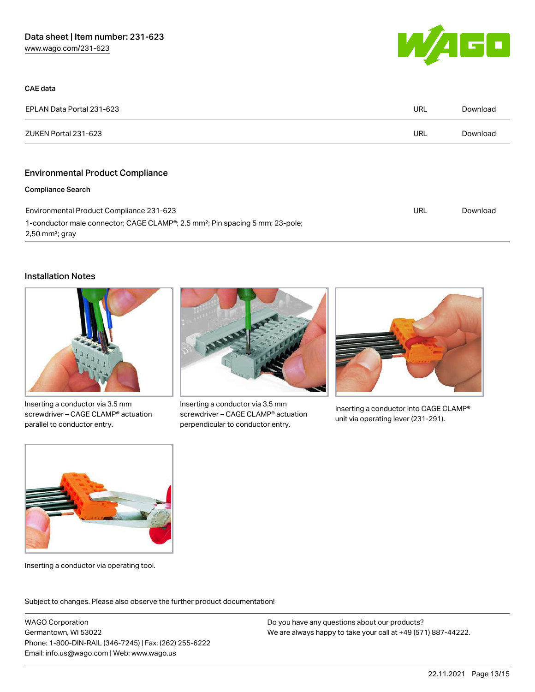

| CAE data                                                                                                                   |     |          |
|----------------------------------------------------------------------------------------------------------------------------|-----|----------|
| EPLAN Data Portal 231-623                                                                                                  | URL | Download |
| ZUKEN Portal 231-623                                                                                                       | URL | Download |
|                                                                                                                            |     |          |
| <b>Environmental Product Compliance</b>                                                                                    |     |          |
| <b>Compliance Search</b>                                                                                                   |     |          |
| Environmental Product Compliance 231-623                                                                                   | URL | Download |
| 1-conductor male connector; CAGE CLAMP®; 2.5 mm <sup>2</sup> ; Pin spacing 5 mm; 23-pole;<br>$2,50$ mm <sup>2</sup> ; gray |     |          |

#### Installation Notes



Inserting a conductor via 3.5 mm screwdriver – CAGE CLAMP® actuation parallel to conductor entry.



Inserting a conductor via 3.5 mm screwdriver – CAGE CLAMP® actuation perpendicular to conductor entry.



Inserting a conductor into CAGE CLAMP® unit via operating lever (231-291).



Inserting a conductor via operating tool.

Subject to changes. Please also observe the further product documentation!

WAGO Corporation Germantown, WI 53022 Phone: 1-800-DIN-RAIL (346-7245) | Fax: (262) 255-6222 Email: info.us@wago.com | Web: www.wago.us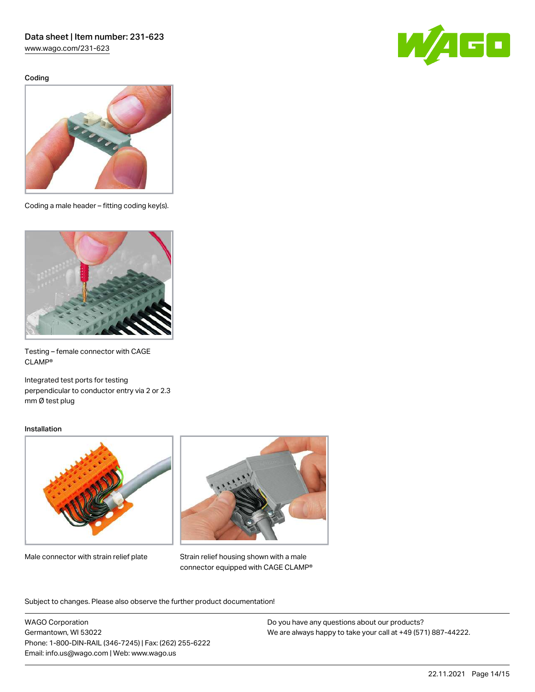[www.wago.com/231-623](http://www.wago.com/231-623)

Coding





Coding a male header – fitting coding key(s).



Testing – female connector with CAGE CLAMP®

Integrated test ports for testing perpendicular to conductor entry via 2 or 2.3 mm Ø test plug

#### Installation



Male connector with strain relief plate



Strain relief housing shown with a male connector equipped with CAGE CLAMP®

Subject to changes. Please also observe the further product documentation!

WAGO Corporation Germantown, WI 53022 Phone: 1-800-DIN-RAIL (346-7245) | Fax: (262) 255-6222 Email: info.us@wago.com | Web: www.wago.us